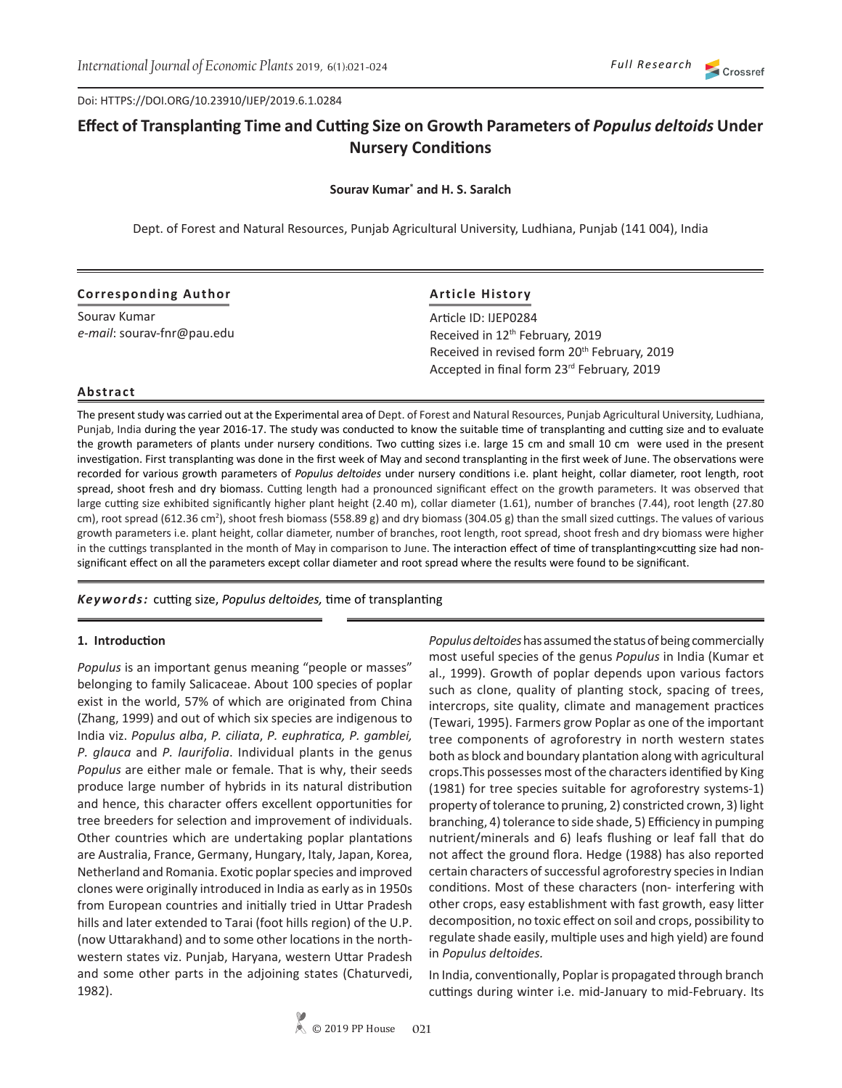Doi: HTTPS://DOI.ORG/10.23910/IJEP/2019.6.1.0284

# **Effect of Transplanting Time and Cutting Size on Growth Parameters of** *Populus deltoids* **Under Nursery Conditions**

**Sourav Kumar\* and H. S. Saralch**

Dept. of Forest and Natural Resources, Punjab Agricultural University, Ludhiana, Punjab (141 004), India

| <b>Corresponding Author</b> | <b>Article History</b>                                                                                 |  |  |
|-----------------------------|--------------------------------------------------------------------------------------------------------|--|--|
| Souray Kumar                | Article ID: IJEP0284                                                                                   |  |  |
| e-mail: sourav-fnr@pau.edu  | Received in 12 <sup>th</sup> February, 2019                                                            |  |  |
|                             | Received in revised form 20 <sup>th</sup> February, 2019<br>Accepted in final form 23rd February, 2019 |  |  |

#### **Abstract**

The present study was carried out at the Experimental area of Dept. of Forest and Natural Resources, Punjab Agricultural University, Ludhiana, Punjab, India during the year 2016-17. The study was conducted to know the suitable time of transplanting and cutting size and to evaluate the growth parameters of plants under nursery conditions. Two cutting sizes i.e. large 15 cm and small 10 cm were used in the present investigation. First transplanting was done in the first week of May and second transplanting in the first week of June. The observations were recorded for various growth parameters of *Populus deltoides* under nursery conditions i.e. plant height, collar diameter, root length, root spread, shoot fresh and dry biomass. Cutting length had a pronounced significant effect on the growth parameters. It was observed that large cutting size exhibited significantly higher plant height (2.40 m), collar diameter (1.61), number of branches (7.44), root length (27.80 cm), root spread (612.36 cm<sup>2</sup>), shoot fresh biomass (558.89 g) and dry biomass (304.05 g) than the small sized cuttings. The values of various growth parameters i.e. plant height, collar diameter, number of branches, root length, root spread, shoot fresh and dry biomass were higher in the cuttings transplanted in the month of May in comparison to June. The interaction effect of time of transplanting×cutting size had nonsignificant effect on all the parameters except collar diameter and root spread where the results were found to be significant.

#### *Keywords:* cutting size, *Populus deltoides,* time of transplanting

#### **1. Introduction**

Populus is an important genus meaning "people or masses" belonging to family Salicaceae. About 100 species of poplar exist in the world, 57% of which are originated from China (Zhang, 1999) and out of which six species are indigenous to India viz. *Populus alba*, *P. ciliata*, *P. euphratica, P. gamblei, P. glauca* and *P. laurifolia*. Individual plants in the genus *Populus* are either male or female. That is why, their seeds produce large number of hybrids in its natural distribution and hence, this character offers excellent opportunities for tree breeders for selection and improvement of individuals. Other countries which are undertaking poplar plantations are Australia, France, Germany, Hungary, Italy, Japan, Korea, Netherland and Romania. Exotic poplar species and improved clones were originally introduced in India as early as in 1950s from European countries and initially tried in Uttar Pradesh hills and later extended to Tarai (foot hills region) of the U.P. (now Uttarakhand) and to some other locations in the northwestern states viz. Punjab, Haryana, western Uttar Pradesh and some other parts in the adjoining states (Chaturvedi, 1982).

*Populus deltoides* has assumed the status of being commercially most useful species of the genus *Populus* in India (Kumar et al., 1999). Growth of poplar depends upon various factors such as clone, quality of planting stock, spacing of trees, intercrops, site quality, climate and management practices (Tewari, 1995). Farmers grow Poplar as one of the important tree components of agroforestry in north western states both as block and boundary plantation along with agricultural crops.This possesses most of the characters identified by King (1981) for tree species suitable for agroforestry systems-1) property of tolerance to pruning, 2) constricted crown, 3) light branching, 4) tolerance to side shade, 5) Efficiency in pumping nutrient/minerals and 6) leafs flushing or leaf fall that do not affect the ground flora. Hedge (1988) has also reported certain characters of successful agroforestry species in Indian conditions. Most of these characters (non- interfering with other crops, easy establishment with fast growth, easy litter decomposition, no toxic effect on soil and crops, possibility to regulate shade easily, multiple uses and high yield) are found in *Populus deltoides.*

In India, conventionally, Poplar is propagated through branch cuttings during winter i.e. mid-January to mid-February. Its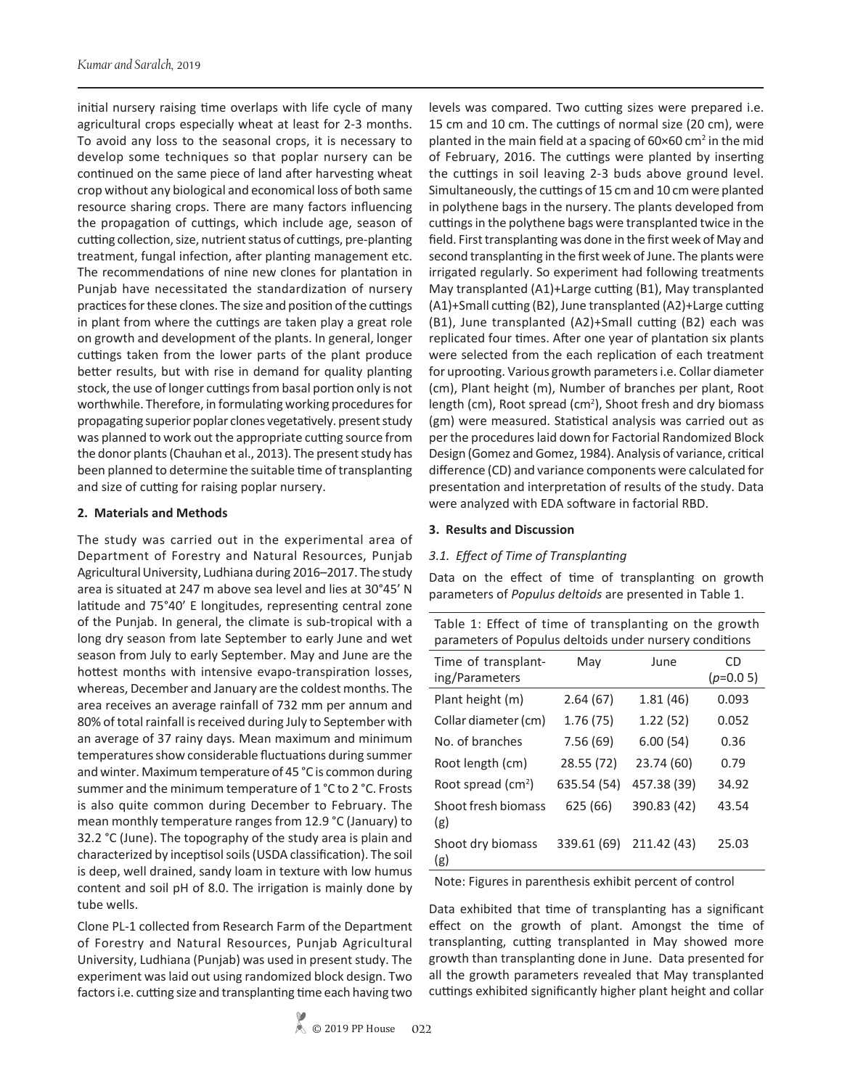initial nursery raising time overlaps with life cycle of many agricultural crops especially wheat at least for 2-3 months. To avoid any loss to the seasonal crops, it is necessary to develop some techniques so that poplar nursery can be continued on the same piece of land after harvesting wheat crop without any biological and economical loss of both same resource sharing crops. There are many factors influencing the propagation of cuttings, which include age, season of cutting collection, size, nutrient status of cuttings, pre-planting treatment, fungal infection, after planting management etc. The recommendations of nine new clones for plantation in Punjab have necessitated the standardization of nursery practices for these clones. The size and position of the cuttings in plant from where the cuttings are taken play a great role on growth and development of the plants. In general, longer cuttings taken from the lower parts of the plant produce better results, but with rise in demand for quality planting stock, the use of longer cuttings from basal portion only is not worthwhile. Therefore, in formulating working procedures for propagating superior poplar clones vegetatively. present study was planned to work out the appropriate cutting source from the donor plants (Chauhan et al., 2013). The present study has been planned to determine the suitable time of transplanting and size of cutting for raising poplar nursery.

#### **2. Materials and Methods**

The study was carried out in the experimental area of Department of Forestry and Natural Resources, Punjab Agricultural University, Ludhiana during 2016–2017. The study area is situated at 247 m above sea level and lies at 30°45' N latitude and 75°40' E longitudes, representing central zone of the Punjab. In general, the climate is sub-tropical with a long dry season from late September to early June and wet season from July to early September. May and June are the hottest months with intensive evapo-transpiration losses, whereas, December and January are the coldest months. The area receives an average rainfall of 732 mm per annum and 80% of total rainfall is received during July to September with an average of 37 rainy days. Mean maximum and minimum temperatures show considerable fluctuations during summer and winter. Maximum temperature of 45 °C is common during summer and the minimum temperature of 1 °C to 2 °C. Frosts is also quite common during December to February. The mean monthly temperature ranges from 12.9 °C (January) to 32.2 °C (June). The topography of the study area is plain and characterized by inceptisol soils (USDA classification). The soil is deep, well drained, sandy loam in texture with low humus content and soil pH of 8.0. The irrigation is mainly done by tube wells.

Clone PL-1 collected from Research Farm of the Department of Forestry and Natural Resources, Punjab Agricultural University, Ludhiana (Punjab) was used in present study. The experiment was laid out using randomized block design. Two factors i.e. cutting size and transplanting time each having two

levels was compared. Two cutting sizes were prepared i.e. 15 cm and 10 cm. The cuttings of normal size (20 cm), were planted in the main field at a spacing of  $60 \times 60$  cm<sup>2</sup> in the mid of February, 2016. The cuttings were planted by inserting the cuttings in soil leaving 2-3 buds above ground level. Simultaneously, the cuttings of 15 cm and 10 cm were planted in polythene bags in the nursery. The plants developed from cuttings in the polythene bags were transplanted twice in the field. First transplanting was done in the first week of May and second transplanting in the first week of June. The plants were irrigated regularly. So experiment had following treatments May transplanted (A1)+Large cutting (B1), May transplanted (A1)+Small cutting (B2), June transplanted (A2)+Large cutting (B1), June transplanted (A2)+Small cutting (B2) each was replicated four times. After one year of plantation six plants were selected from the each replication of each treatment for uprooting. Various growth parameters i.e. Collar diameter (cm), Plant height (m), Number of branches per plant, Root length (cm), Root spread (cm<sup>2</sup>), Shoot fresh and dry biomass (gm) were measured. Statistical analysis was carried out as per the procedures laid down for Factorial Randomized Block Design (Gomez and Gomez, 1984). Analysis of variance, critical difference (CD) and variance components were calculated for presentation and interpretation of results of the study. Data were analyzed with EDA software in factorial RBD.

#### **3. Results and Discussion**

## *3.1. Effect of Time of Transplanting*

Data on the effect of time of transplanting on growth parameters of *Populus deltoids* are presented in Table 1.

| Table 1: Effect of time of transplanting on the growth  |  |
|---------------------------------------------------------|--|
| parameters of Populus deltoids under nursery conditions |  |

| Time of transplant-<br>ing/Parameters | May         | June        | CD<br>$(p=0.05)$ |
|---------------------------------------|-------------|-------------|------------------|
| Plant height (m)                      | 2.64(67)    | 1.81(46)    | 0.093            |
| Collar diameter (cm)                  | 1.76(75)    | 1.22(52)    | 0.052            |
| No. of branches                       | 7.56(69)    | 6.00(54)    | 0.36             |
| Root length (cm)                      | 28.55 (72)  | 23.74 (60)  | 0.79             |
| Root spread $(cm2)$                   | 635.54 (54) | 457.38 (39) | 34.92            |
| Shoot fresh biomass<br>(g)            | 625 (66)    | 390.83 (42) | 43.54            |
| Shoot dry biomass<br>(g)              | 339.61 (69) | 211.42 (43) | 25.03            |

Note: Figures in parenthesis exhibit percent of control

Data exhibited that time of transplanting has a significant effect on the growth of plant. Amongst the time of transplanting, cutting transplanted in May showed more growth than transplanting done in June. Data presented for all the growth parameters revealed that May transplanted cuttings exhibited significantly higher plant height and collar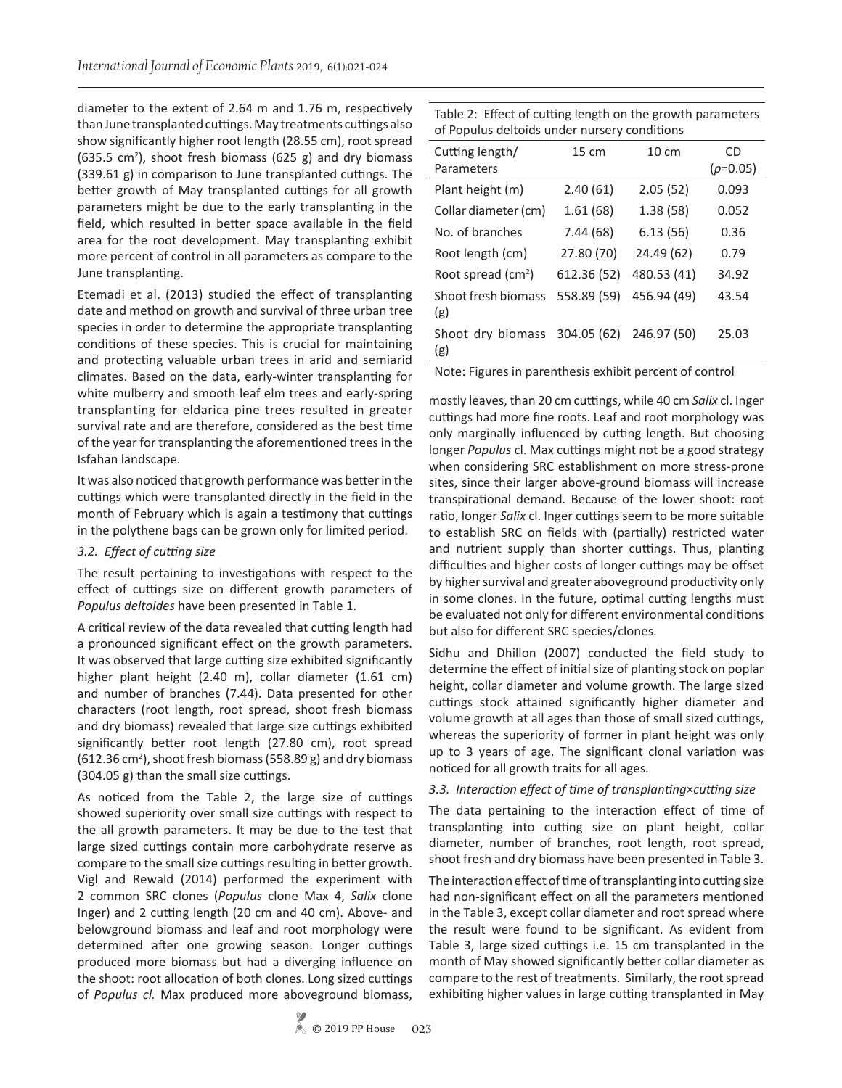diameter to the extent of 2.64 m and 1.76 m, respectively than June transplanted cuttings. May treatments cuttings also show significantly higher root length (28.55 cm), root spread  $(635.5 \text{ cm}^2)$ , shoot fresh biomass  $(625 \text{ g})$  and dry biomass (339.61 g) in comparison to June transplanted cuttings. The better growth of May transplanted cuttings for all growth parameters might be due to the early transplanting in the field, which resulted in better space available in the field area for the root development. May transplanting exhibit more percent of control in all parameters as compare to the June transplanting.

Etemadi et al. (2013) studied the effect of transplanting date and method on growth and survival of three urban tree species in order to determine the appropriate transplanting conditions of these species. This is crucial for maintaining and protecting valuable urban trees in arid and semiarid climates. Based on the data, early-winter transplanting for white mulberry and smooth leaf elm trees and early-spring transplanting for eldarica pine trees resulted in greater survival rate and are therefore, considered as the best time of the year for transplanting the aforementioned trees in the Isfahan landscape.

It was also noticed that growth performance was better in the cuttings which were transplanted directly in the field in the month of February which is again a testimony that cuttings in the polythene bags can be grown only for limited period.

## *3.2. Effect of cutting size*

The result pertaining to investigations with respect to the effect of cuttings size on different growth parameters of *Populus deltoides* have been presented in Table 1.

A critical review of the data revealed that cutting length had a pronounced significant effect on the growth parameters. It was observed that large cutting size exhibited significantly higher plant height (2.40 m), collar diameter (1.61 cm) and number of branches (7.44). Data presented for other characters (root length, root spread, shoot fresh biomass and dry biomass) revealed that large size cuttings exhibited significantly better root length (27.80 cm), root spread  $(612.36 \text{ cm}^2)$ , shoot fresh biomass (558.89 g) and dry biomass (304.05 g) than the small size cuttings.

As noticed from the Table 2, the large size of cuttings showed superiority over small size cuttings with respect to the all growth parameters. It may be due to the test that large sized cuttings contain more carbohydrate reserve as compare to the small size cuttings resulting in better growth. Vigl and Rewald (2014) performed the experiment with 2 common SRC clones (*Populus* clone Max 4, *Salix* clone Inger) and 2 cutting length (20 cm and 40 cm). Above- and belowground biomass and leaf and root morphology were determined after one growing season. Longer cuttings produced more biomass but had a diverging influence on the shoot: root allocation of both clones. Long sized cuttings of *Populus cl.* Max produced more aboveground biomass,

Table 2: Effect of cutting length on the growth parameters of Populus deltoids under nursery conditions

| Cutting length/<br>Parameters  | 15 cm       | $10 \text{ cm}$ | CD<br>$(p=0.05)$ |
|--------------------------------|-------------|-----------------|------------------|
| Plant height (m)               | 2.40(61)    | 2.05(52)        | 0.093            |
| Collar diameter (cm)           | 1.61(68)    | 1.38(58)        | 0.052            |
| No. of branches                | 7.44 (68)   | 6.13(56)        | 0.36             |
| Root length (cm)               | 27.80 (70)  | 24.49 (62)      | 0.79             |
| Root spread (cm <sup>2</sup> ) | 612.36 (52) | 480.53 (41)     | 34.92            |
| Shoot fresh biomass<br>(g)     | 558.89 (59) | 456.94 (49)     | 43.54            |
| Shoot dry biomass<br>(g)       | 304.05 (62) | 246.97 (50)     | 25.03            |

Note: Figures in parenthesis exhibit percent of control

mostly leaves, than 20 cm cuttings, while 40 cm *Salix* cl. Inger cuttings had more fine roots. Leaf and root morphology was only marginally influenced by cutting length. But choosing longer *Populus* cl. Max cuttings might not be a good strategy when considering SRC establishment on more stress-prone sites, since their larger above-ground biomass will increase transpirational demand. Because of the lower shoot: root ratio, longer *Salix* cl. Inger cuttings seem to be more suitable to establish SRC on fields with (partially) restricted water and nutrient supply than shorter cuttings. Thus, planting difficulties and higher costs of longer cuttings may be offset by higher survival and greater aboveground productivity only in some clones. In the future, optimal cutting lengths must be evaluated not only for different environmental conditions but also for different SRC species/clones.

Sidhu and Dhillon (2007) conducted the field study to determine the effect of initial size of planting stock on poplar height, collar diameter and volume growth. The large sized cuttings stock attained significantly higher diameter and volume growth at all ages than those of small sized cuttings, whereas the superiority of former in plant height was only up to 3 years of age. The significant clonal variation was noticed for all growth traits for all ages.

## *3.3. Interaction effect of time of transplanting*×*cutting size*

The data pertaining to the interaction effect of time of transplanting into cutting size on plant height, collar diameter, number of branches, root length, root spread, shoot fresh and dry biomass have been presented in Table 3.

The interaction effect of time of transplanting into cutting size had non-significant effect on all the parameters mentioned in the Table 3, except collar diameter and root spread where the result were found to be significant. As evident from Table 3, large sized cuttings i.e. 15 cm transplanted in the month of May showed significantly better collar diameter as compare to the rest of treatments. Similarly, the root spread exhibiting higher values in large cutting transplanted in May